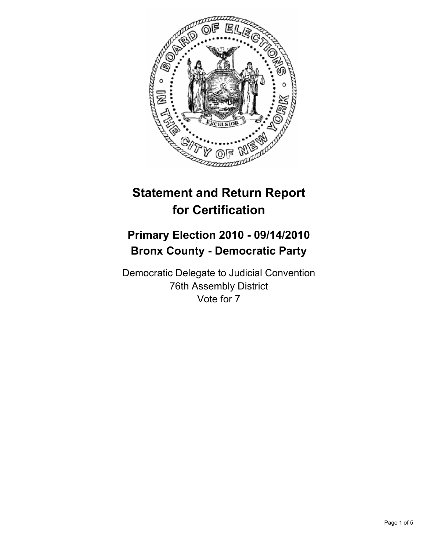

# **Statement and Return Report for Certification**

## **Primary Election 2010 - 09/14/2010 Bronx County - Democratic Party**

Democratic Delegate to Judicial Convention 76th Assembly District Vote for 7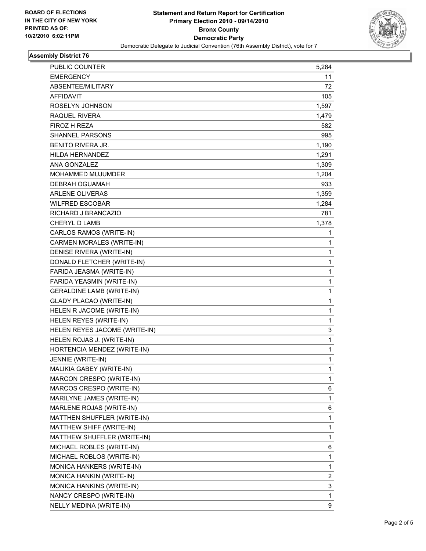

## **Assembly District 76**

| PUBLIC COUNTER                   | 5,284        |
|----------------------------------|--------------|
| <b>EMERGENCY</b>                 | 11           |
| ABSENTEE/MILITARY                | 72           |
| AFFIDAVIT                        | 105          |
| ROSELYN JOHNSON                  | 1,597        |
| <b>RAQUEL RIVERA</b>             | 1,479        |
| FIROZ H REZA                     | 582          |
| <b>SHANNEL PARSONS</b>           | 995          |
| <b>BENITO RIVERA JR.</b>         | 1,190        |
| HILDA HERNANDEZ                  | 1,291        |
| <b>ANA GONZALEZ</b>              | 1,309        |
| <b>MOHAMMED MUJUMDER</b>         | 1,204        |
| DEBRAH OGUAMAH                   | 933          |
| <b>ARLENE OLIVERAS</b>           | 1,359        |
| <b>WILFRED ESCOBAR</b>           | 1,284        |
| RICHARD J BRANCAZIO              | 781          |
| <b>CHERYL D LAMB</b>             | 1,378        |
| CARLOS RAMOS (WRITE-IN)          | 1            |
| <b>CARMEN MORALES (WRITE-IN)</b> | 1            |
| <b>DENISE RIVERA (WRITE-IN)</b>  | 1            |
| DONALD FLETCHER (WRITE-IN)       | $\mathbf{1}$ |
| FARIDA JEASMA (WRITE-IN)         | 1            |
| FARIDA YEASMIN (WRITE-IN)        | 1            |
| <b>GERALDINE LAMB (WRITE-IN)</b> | 1            |
| <b>GLADY PLACAO (WRITE-IN)</b>   | 1            |
| HELEN R JACOME (WRITE-IN)        | 1            |
| HELEN REYES (WRITE-IN)           | $\mathbf{1}$ |
| HELEN REYES JACOME (WRITE-IN)    | 3            |
| HELEN ROJAS J. (WRITE-IN)        | 1            |
| HORTENCIA MENDEZ (WRITE-IN)      | 1            |
| JENNIE (WRITE-IN)                | 1            |
| MALIKIA GABEY (WRITE-IN)         | $\mathbf{1}$ |
| MARCON CRESPO (WRITE-IN)         | 1            |
| MARCOS CRESPO (WRITE-IN)         | 6            |
| MARILYNE JAMES (WRITE-IN)        | 1            |
| MARLENE ROJAS (WRITE-IN)         | 6            |
| MATTHEN SHUFFLER (WRITE-IN)      | 1            |
| MATTHEW SHIFF (WRITE-IN)         | 1            |
| MATTHEW SHUFFLER (WRITE-IN)      | 1            |
| MICHAEL ROBLES (WRITE-IN)        | 6            |
| MICHAEL ROBLOS (WRITE-IN)        | 1            |
| MONICA HANKERS (WRITE-IN)        | 1            |
| MONICA HANKIN (WRITE-IN)         | 2            |
| MONICA HANKINS (WRITE-IN)        | 3            |
| NANCY CRESPO (WRITE-IN)          | 1            |
| NELLY MEDINA (WRITE-IN)          | 9            |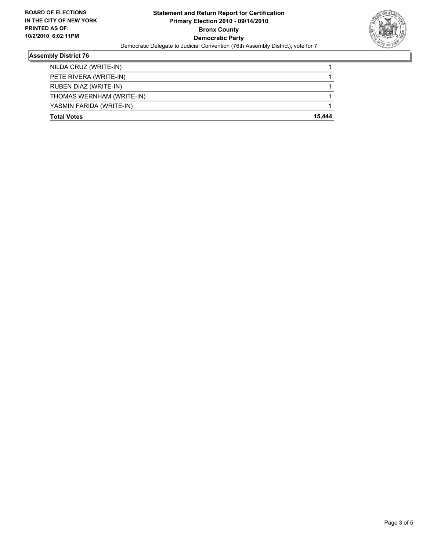

## **Assembly District 76**

| <b>Total Votes</b>        | 15.444 |
|---------------------------|--------|
| YASMIN FARIDA (WRITE-IN)  |        |
| THOMAS WERNHAM (WRITE-IN) |        |
| RUBEN DIAZ (WRITE-IN)     |        |
| PETE RIVERA (WRITE-IN)    |        |
| NILDA CRUZ (WRITE-IN)     |        |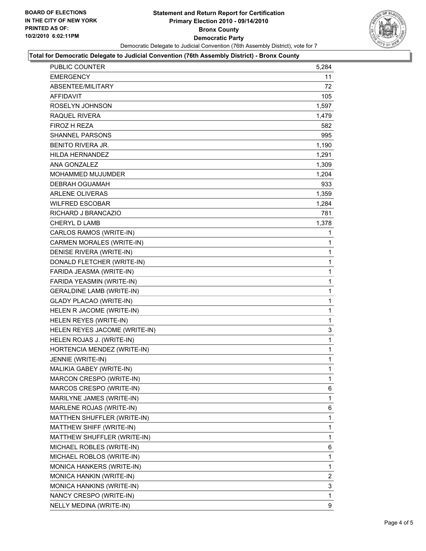

### **Total for Democratic Delegate to Judicial Convention (76th Assembly District) - Bronx County**

| PUBLIC COUNTER                   | 5,284 |
|----------------------------------|-------|
| <b>EMERGENCY</b>                 | 11    |
| ABSENTEE/MILITARY                | 72    |
| <b>AFFIDAVIT</b>                 | 105   |
| ROSELYN JOHNSON                  | 1,597 |
| RAQUEL RIVERA                    | 1,479 |
| FIROZ H REZA                     | 582   |
| SHANNEL PARSONS                  | 995   |
| <b>BENITO RIVERA JR.</b>         | 1,190 |
| <b>HILDA HERNANDEZ</b>           | 1,291 |
| ANA GONZALEZ                     | 1,309 |
| MOHAMMED MUJUMDER                | 1,204 |
| <b>DEBRAH OGUAMAH</b>            | 933   |
| <b>ARLENE OLIVERAS</b>           | 1,359 |
| <b>WILFRED ESCOBAR</b>           | 1,284 |
| RICHARD J BRANCAZIO              | 781   |
| <b>CHERYL D LAMB</b>             | 1,378 |
| CARLOS RAMOS (WRITE-IN)          | 1     |
| CARMEN MORALES (WRITE-IN)        | 1     |
| DENISE RIVERA (WRITE-IN)         | 1     |
| DONALD FLETCHER (WRITE-IN)       | 1     |
| FARIDA JEASMA (WRITE-IN)         | 1     |
| FARIDA YEASMIN (WRITE-IN)        | 1     |
| <b>GERALDINE LAMB (WRITE-IN)</b> | 1     |
| <b>GLADY PLACAO (WRITE-IN)</b>   | 1     |
| HELEN R JACOME (WRITE-IN)        | 1     |
| HELEN REYES (WRITE-IN)           | 1     |
| HELEN REYES JACOME (WRITE-IN)    | 3     |
| HELEN ROJAS J. (WRITE-IN)        | 1     |
| HORTENCIA MENDEZ (WRITE-IN)      | 1     |
| JENNIE (WRITE-IN)                | 1     |
| MALIKIA GABEY (WRITE-IN)         | 1     |
| MARCON CRESPO (WRITE-IN)         | 1     |
| MARCOS CRESPO (WRITE-IN)         | 6     |
| MARILYNE JAMES (WRITE-IN)        | 1     |
| MARLENE ROJAS (WRITE-IN)         | 6     |
| MATTHEN SHUFFLER (WRITE-IN)      | 1     |
| MATTHEW SHIFF (WRITE-IN)         | 1     |
| MATTHEW SHUFFLER (WRITE-IN)      | 1     |
| MICHAEL ROBLES (WRITE-IN)        | 6     |
| MICHAEL ROBLOS (WRITE-IN)        | 1     |
| MONICA HANKERS (WRITE-IN)        | 1     |
| MONICA HANKIN (WRITE-IN)         | 2     |
| MONICA HANKINS (WRITE-IN)        | 3     |
| NANCY CRESPO (WRITE-IN)          | 1     |
| NELLY MEDINA (WRITE-IN)          | 9     |